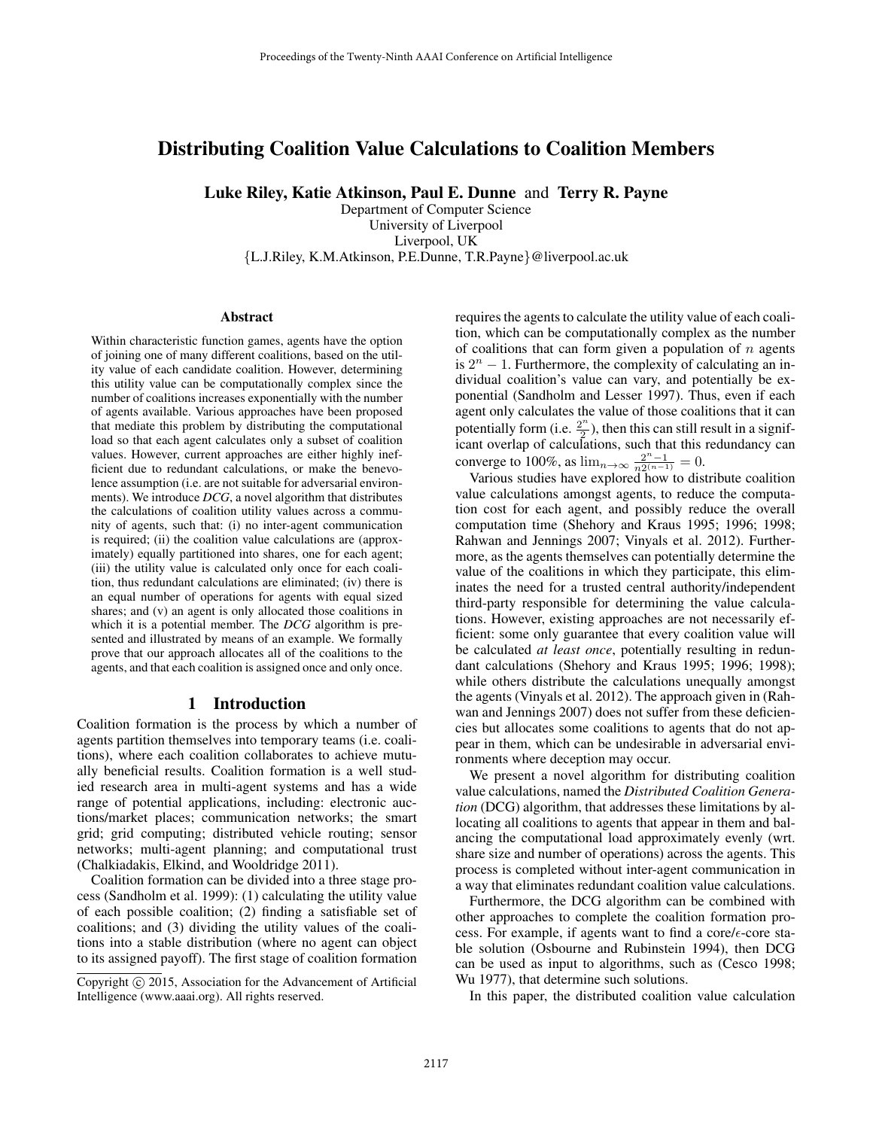# Distributing Coalition Value Calculations to Coalition Members

Luke Riley, Katie Atkinson, Paul E. Dunne and Terry R. Payne

Department of Computer Science University of Liverpool Liverpool, UK {L.J.Riley, K.M.Atkinson, P.E.Dunne, T.R.Payne}@liverpool.ac.uk

#### **Abstract**

Within characteristic function games, agents have the option of joining one of many different coalitions, based on the utility value of each candidate coalition. However, determining this utility value can be computationally complex since the number of coalitions increases exponentially with the number of agents available. Various approaches have been proposed that mediate this problem by distributing the computational load so that each agent calculates only a subset of coalition values. However, current approaches are either highly inefficient due to redundant calculations, or make the benevolence assumption (i.e. are not suitable for adversarial environments). We introduce *DCG*, a novel algorithm that distributes the calculations of coalition utility values across a community of agents, such that: (i) no inter-agent communication is required; (ii) the coalition value calculations are (approximately) equally partitioned into shares, one for each agent; (iii) the utility value is calculated only once for each coalition, thus redundant calculations are eliminated; (iv) there is an equal number of operations for agents with equal sized shares; and (v) an agent is only allocated those coalitions in which it is a potential member. The *DCG* algorithm is presented and illustrated by means of an example. We formally prove that our approach allocates all of the coalitions to the agents, and that each coalition is assigned once and only once.

### 1 Introduction

Coalition formation is the process by which a number of agents partition themselves into temporary teams (i.e. coalitions), where each coalition collaborates to achieve mutually beneficial results. Coalition formation is a well studied research area in multi-agent systems and has a wide range of potential applications, including: electronic auctions/market places; communication networks; the smart grid; grid computing; distributed vehicle routing; sensor networks; multi-agent planning; and computational trust (Chalkiadakis, Elkind, and Wooldridge 2011).

Coalition formation can be divided into a three stage process (Sandholm et al. 1999): (1) calculating the utility value of each possible coalition; (2) finding a satisfiable set of coalitions; and (3) dividing the utility values of the coalitions into a stable distribution (where no agent can object to its assigned payoff). The first stage of coalition formation

requires the agents to calculate the utility value of each coalition, which can be computationally complex as the number of coalitions that can form given a population of  $n$  agents is  $2^n - 1$ . Furthermore, the complexity of calculating an individual coalition's value can vary, and potentially be exponential (Sandholm and Lesser 1997). Thus, even if each agent only calculates the value of those coalitions that it can potentially form (i.e.  $\frac{2^n}{2}$  $\frac{1}{2}$ ), then this can still result in a significant overlap of calculations, such that this redundancy can converge to 100%, as  $\lim_{n \to \infty} \frac{2^{n}-1}{n2^{(n-1)}} = 0$ .

Various studies have explored how to distribute coalition value calculations amongst agents, to reduce the computation cost for each agent, and possibly reduce the overall computation time (Shehory and Kraus 1995; 1996; 1998; Rahwan and Jennings 2007; Vinyals et al. 2012). Furthermore, as the agents themselves can potentially determine the value of the coalitions in which they participate, this eliminates the need for a trusted central authority/independent third-party responsible for determining the value calculations. However, existing approaches are not necessarily efficient: some only guarantee that every coalition value will be calculated *at least once*, potentially resulting in redundant calculations (Shehory and Kraus 1995; 1996; 1998); while others distribute the calculations unequally amongst the agents (Vinyals et al. 2012). The approach given in (Rahwan and Jennings 2007) does not suffer from these deficiencies but allocates some coalitions to agents that do not appear in them, which can be undesirable in adversarial environments where deception may occur.

We present a novel algorithm for distributing coalition value calculations, named the *Distributed Coalition Generation* (DCG) algorithm, that addresses these limitations by allocating all coalitions to agents that appear in them and balancing the computational load approximately evenly (wrt. share size and number of operations) across the agents. This process is completed without inter-agent communication in a way that eliminates redundant coalition value calculations.

Furthermore, the DCG algorithm can be combined with other approaches to complete the coalition formation process. For example, if agents want to find a core/ $\epsilon$ -core stable solution (Osbourne and Rubinstein 1994), then DCG can be used as input to algorithms, such as (Cesco 1998; Wu 1977), that determine such solutions.

In this paper, the distributed coalition value calculation

Copyright © 2015, Association for the Advancement of Artificial Intelligence (www.aaai.org). All rights reserved.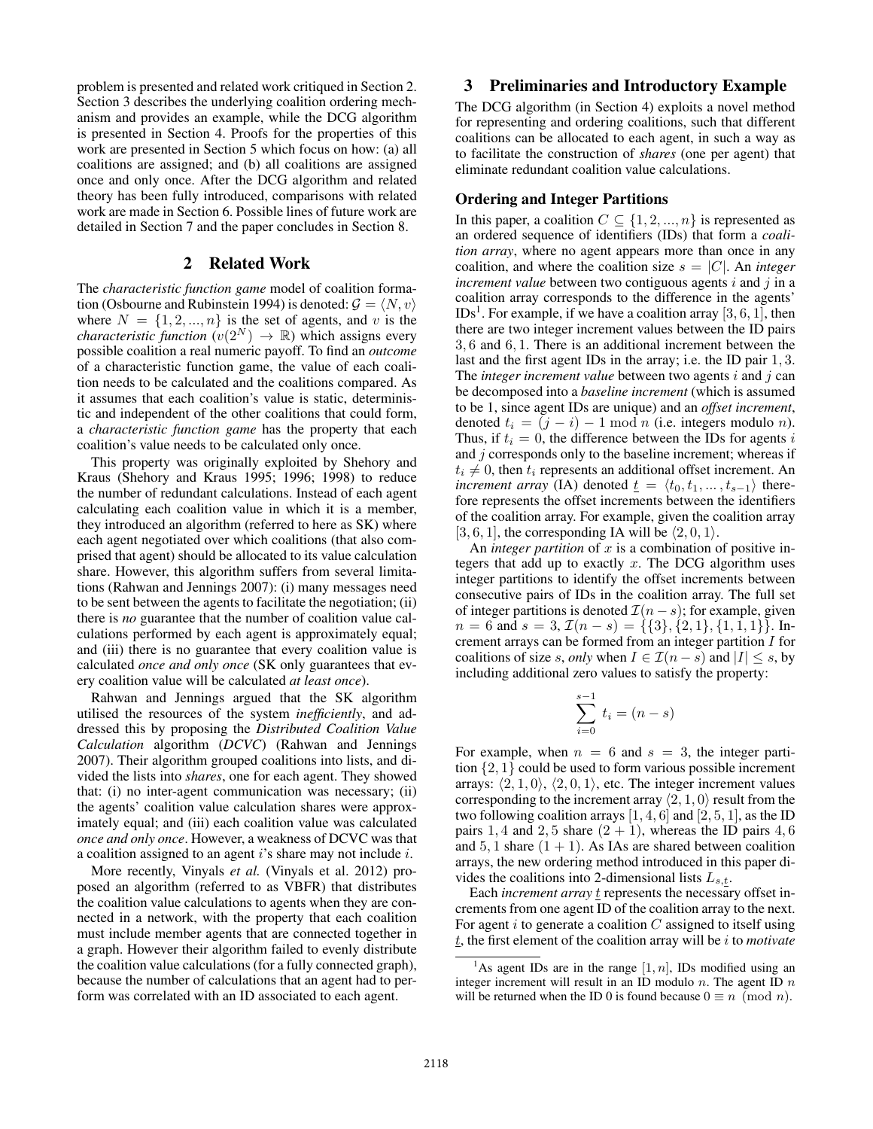problem is presented and related work critiqued in Section 2. Section 3 describes the underlying coalition ordering mechanism and provides an example, while the DCG algorithm is presented in Section 4. Proofs for the properties of this work are presented in Section 5 which focus on how: (a) all coalitions are assigned; and (b) all coalitions are assigned once and only once. After the DCG algorithm and related theory has been fully introduced, comparisons with related work are made in Section 6. Possible lines of future work are detailed in Section 7 and the paper concludes in Section 8.

### 2 Related Work

The *characteristic function game* model of coalition formation (Osbourne and Rubinstein 1994) is denoted:  $\mathcal{G} = \langle N, v \rangle$ where  $N = \{1, 2, ..., n\}$  is the set of agents, and v is the *characteristic function*  $(v(2^N) \rightarrow \mathbb{R})$  which assigns every possible coalition a real numeric payoff. To find an *outcome* of a characteristic function game, the value of each coalition needs to be calculated and the coalitions compared. As it assumes that each coalition's value is static, deterministic and independent of the other coalitions that could form, a *characteristic function game* has the property that each coalition's value needs to be calculated only once.

This property was originally exploited by Shehory and Kraus (Shehory and Kraus 1995; 1996; 1998) to reduce the number of redundant calculations. Instead of each agent calculating each coalition value in which it is a member, they introduced an algorithm (referred to here as SK) where each agent negotiated over which coalitions (that also comprised that agent) should be allocated to its value calculation share. However, this algorithm suffers from several limitations (Rahwan and Jennings 2007): (i) many messages need to be sent between the agents to facilitate the negotiation; (ii) there is *no* guarantee that the number of coalition value calculations performed by each agent is approximately equal; and (iii) there is no guarantee that every coalition value is calculated *once and only once* (SK only guarantees that every coalition value will be calculated *at least once*).

Rahwan and Jennings argued that the SK algorithm utilised the resources of the system *inefficiently*, and addressed this by proposing the *Distributed Coalition Value Calculation* algorithm (*DCVC*) (Rahwan and Jennings 2007). Their algorithm grouped coalitions into lists, and divided the lists into *shares*, one for each agent. They showed that: (i) no inter-agent communication was necessary; (ii) the agents' coalition value calculation shares were approximately equal; and (iii) each coalition value was calculated *once and only once*. However, a weakness of DCVC was that a coalition assigned to an agent i's share may not include i.

More recently, Vinyals *et al.* (Vinyals et al. 2012) proposed an algorithm (referred to as VBFR) that distributes the coalition value calculations to agents when they are connected in a network, with the property that each coalition must include member agents that are connected together in a graph. However their algorithm failed to evenly distribute the coalition value calculations (for a fully connected graph), because the number of calculations that an agent had to perform was correlated with an ID associated to each agent.

## 3 Preliminaries and Introductory Example

The DCG algorithm (in Section 4) exploits a novel method for representing and ordering coalitions, such that different coalitions can be allocated to each agent, in such a way as to facilitate the construction of *shares* (one per agent) that eliminate redundant coalition value calculations.

### Ordering and Integer Partitions

In this paper, a coalition  $C \subseteq \{1, 2, ..., n\}$  is represented as an ordered sequence of identifiers (IDs) that form a *coalition array*, where no agent appears more than once in any coalition, and where the coalition size  $s = |C|$ . An *integer increment value* between two contiguous agents  $i$  and  $j$  in a coalition array corresponds to the difference in the agents'  $\text{IDs}^1$ . For example, if we have a coalition array  $[3, 6, 1]$ , then there are two integer increment values between the ID pairs 3, 6 and 6, 1. There is an additional increment between the last and the first agent IDs in the array; i.e. the ID pair 1, 3. The *integer increment value* between two agents *i* and *j* can be decomposed into a *baseline increment* (which is assumed to be 1, since agent IDs are unique) and an *offset increment*, denoted  $t_i = (j - i) - 1 \mod n$  (i.e. integers modulo *n*). Thus, if  $t_i = 0$ , the difference between the IDs for agents i and  $j$  corresponds only to the baseline increment; whereas if  $t_i \neq 0$ , then  $t_i$  represents an additional offset increment. An *increment array* (IA) denoted  $\underline{t} = \langle t_0, t_1, \ldots, t_{s-1} \rangle$  therefore represents the offset increments between the identifiers of the coalition array. For example, given the coalition array [3, 6, 1], the corresponding IA will be  $\langle 2, 0, 1 \rangle$ .

An *integer partition* of  $x$  is a combination of positive integers that add up to exactly  $x$ . The DCG algorithm uses integer partitions to identify the offset increments between consecutive pairs of IDs in the coalition array. The full set of integer partitions is denoted  $\mathcal{I}(n-s)$ ; for example, given  $n = 6$  and  $s = 3$ ,  $\mathcal{I}(n - s) = \{\{3\}, \{2, 1\}, \{1, 1, 1\}\}\$ . Increment arrays can be formed from an integer partition I for coalitions of size s, *only* when  $I \in \mathcal{I}(n-s)$  and  $|I| \leq s$ , by including additional zero values to satisfy the property:

$$
\sum_{i=0}^{s-1} t_i = (n-s)
$$

For example, when  $n = 6$  and  $s = 3$ , the integer partition {2, 1} could be used to form various possible increment arrays:  $\langle 2, 1, 0 \rangle$ ,  $\langle 2, 0, 1 \rangle$ , etc. The integer increment values corresponding to the increment array  $\langle 2, 1, 0 \rangle$  result from the two following coalition arrays  $[1, 4, 6]$  and  $[2, 5, 1]$ , as the ID pairs 1, 4 and 2, 5 share  $(2 + 1)$ , whereas the ID pairs 4, 6 and 5, 1 share  $(1 + 1)$ . As IAs are shared between coalition arrays, the new ordering method introduced in this paper divides the coalitions into 2-dimensional lists  $L_{s,t}$ .

Each *increment array*  $\frac{t}{t}$  represents the necessary offset increments from one agent ID of the coalition array to the next. For agent  $i$  to generate a coalition  $C$  assigned to itself using t, the first element of the coalition array will be i to *motivate*

<sup>&</sup>lt;sup>1</sup>As agent IDs are in the range  $[1, n]$ , IDs modified using an integer increment will result in an ID modulo  $n$ . The agent ID  $n$ will be returned when the ID 0 is found because  $0 \equiv n \pmod{n}$ .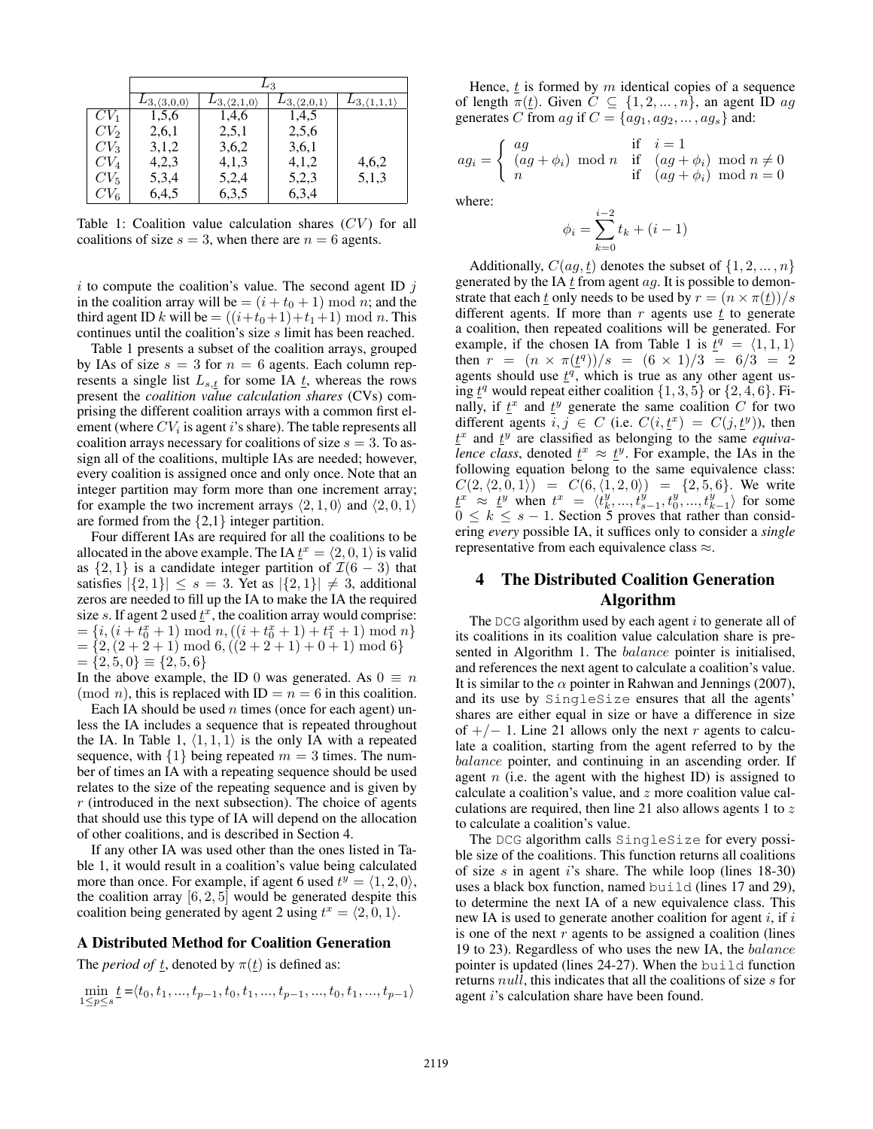|        | $L_3$                        |                              |                              |                              |  |  |  |
|--------|------------------------------|------------------------------|------------------------------|------------------------------|--|--|--|
|        | $L_{3,\langle 3,0,0\rangle}$ | $L_{3,\langle 2,1,0\rangle}$ | $L_{3,\langle 2,0,1\rangle}$ | $L_{3,\langle 1,1,1\rangle}$ |  |  |  |
| $CV_1$ | 1,5,6                        | 1,4,6                        | 1,4,5                        |                              |  |  |  |
| $CV_2$ | 2,6,1                        | 2,5,1                        | 2,5,6                        |                              |  |  |  |
| $CV_3$ | 3,1,2                        | 3,6,2                        | 3,6,1                        |                              |  |  |  |
| $CV_4$ | 4,2,3                        | 4,1,3                        | 4,1,2                        | 4,6,2                        |  |  |  |
| $CV_5$ | 5,3,4                        | 5,2,4                        | 5,2,3                        | 5,1,3                        |  |  |  |
| $CV_6$ | 6,4,5                        | 6,3,5                        | 6,3,4                        |                              |  |  |  |

Table 1: Coalition value calculation shares  $(CV)$  for all coalitions of size  $s = 3$ , when there are  $n = 6$  agents.

i to compute the coalition's value. The second agent ID  $j$ in the coalition array will be  $=(i+t_0+1) \bmod n$ ; and the third agent ID k will be  $=((i+t_0+1)+t_1+1) \mod n$ . This continues until the coalition's size s limit has been reached.

Table 1 presents a subset of the coalition arrays, grouped by IAs of size  $s = 3$  for  $n = 6$  agents. Each column represents a single list  $L_{s,t}$  for some IA  $t$ , whereas the rows present the *coalition value calculation shares* (CVs) comprising the different coalition arrays with a common first element (where  $CV_i$  is agent i's share). The table represents all coalition arrays necessary for coalitions of size  $s = 3$ . To assign all of the coalitions, multiple IAs are needed; however, every coalition is assigned once and only once. Note that an integer partition may form more than one increment array; for example the two increment arrays  $\langle 2, 1, 0 \rangle$  and  $\langle 2, 0, 1 \rangle$ are formed from the  $\{2,1\}$  integer partition.

Four different IAs are required for all the coalitions to be allocated in the above example. The IA  $\underline{t}^x = \langle 2, 0, 1 \rangle$  is valid as  $\{2, 1\}$  is a candidate integer partition of  $\mathcal{I}(6-3)$  that satisfies  $|\{2,1\}| \leq s = 3$ . Yet as  $|\{2,1\}| \neq 3$ , additional zeros are needed to fill up the IA to make the IA the required size s. If agent 2 used  $\underline{t}^x$ , the coalition array would comprise:  $=\{i,(i+t_0^x+1) \bmod n, ((i+t_0^x+1)+t_1^x+1) \bmod n\}$  $=\{2,(2+2+1) \mod 6, ((2+2+1)+0+1) \mod 6\}$  $=\{2,5,0\}\equiv\{2,5,6\}$ 

In the above example, the ID 0 was generated. As  $0 \equiv n$  $(mod n)$ , this is replaced with  $ID = n = 6$  in this coalition.

Each IA should be used  $n$  times (once for each agent) unless the IA includes a sequence that is repeated throughout the IA. In Table 1,  $\langle 1, 1, 1 \rangle$  is the only IA with a repeated sequence, with  $\{1\}$  being repeated  $m = 3$  times. The number of times an IA with a repeating sequence should be used relates to the size of the repeating sequence and is given by  $r$  (introduced in the next subsection). The choice of agents that should use this type of IA will depend on the allocation of other coalitions, and is described in Section 4.

If any other IA was used other than the ones listed in Table 1, it would result in a coalition's value being calculated more than once. For example, if agent 6 used  $t^y = \langle 1, 2, 0 \rangle$ , the coalition array  $[6, 2, 5]$  would be generated despite this coalition being generated by agent 2 using  $t^x = \langle 2, 0, 1 \rangle$ .

### A Distributed Method for Coalition Generation

The *period of t*, denoted by  $\pi(t)$  is defined as:

$$
\min_{1 \le p \le s} \underline{t} = \langle t_0, t_1, ..., t_{p-1}, t_0, t_1, ..., t_{p-1}, ..., t_0, t_1, ..., t_{p-1} \rangle
$$

Hence,  $t_i$  is formed by m identical copies of a sequence of length  $\pi(\underline{t})$ . Given  $C \subseteq \{1, 2, ..., n\}$ , an agent ID ag generates C from ag if  $C = \{ag_1, ag_2, \ldots, ag_s\}$  and:

$$
ag_i = \begin{cases} ag \\ (ag + \phi_i) \mod n & \text{if } (ag + \phi_i) \mod n \neq 0 \\ n & \text{if } (ag + \phi_i) \mod n = 0 \end{cases}
$$

where:

$$
\phi_i = \sum_{k=0}^{i-2} t_k + (i-1)
$$

Additionally,  $C(ag, t)$  denotes the subset of  $\{1, 2, ..., n\}$ generated by the IA  $t$  from agent  $ag$ . It is possible to demonstrate that each  $\underline{t}$  only needs to be used by  $r = (n \times \pi(\underline{t}))/s$ different agents. If more than  $r$  agents use  $t$  to generate a coalition, then repeated coalitions will be generated. For example, if the chosen IA from Table 1 is  $\bar{t}^q = \langle 1, 1, 1 \rangle$ then  $r = (n \times \pi(\underline{t}^q))/s = (6 \times 1)/3 = 6/3 = 2$ agents should use  $t^q$ , which is true as any other agent using  $\underline{t}^q$  would repeat either coalition  $\{1, 3, 5\}$  or  $\{2, 4, 6\}$ . Finally, if  $\underline{t}^x$  and  $\underline{t}^y$  generate the same coalition C for two different agents  $i, j \in C$  (i.e.  $C(i, \underline{t}^x) = C(j, \underline{t}^y)$ ), then  $t^x$  and  $t^y$  are classified as belonging to the same *equivalence class*, denoted  $\underline{t}^x \approx \underline{t}^y$ . For example, the IAs in the following equation belong to the same equivalence class:  $C(2, \langle 2, 0, 1 \rangle) = C(6, \langle 1, 2, 0 \rangle) = \{2, 5, 6\}.$  We write  $\underline{t}^x \approx \underline{t}^y$  when  $t^x = \langle t_k^y, ..., t_{s-1}^y, t_0^y, ..., t_{k-1}^y \rangle$  for some  $0 \leq k \leq s - 1$ . Section 5 proves that rather than considering *every* possible IA, it suffices only to consider a *single* representative from each equivalence class  $\approx$ .

# 4 The Distributed Coalition Generation Algorithm

The DCG algorithm used by each agent  $i$  to generate all of its coalitions in its coalition value calculation share is presented in Algorithm 1. The balance pointer is initialised, and references the next agent to calculate a coalition's value. It is similar to the  $\alpha$  pointer in Rahwan and Jennings (2007), and its use by SingleSize ensures that all the agents' shares are either equal in size or have a difference in size of  $+/- 1$ . Line 21 allows only the next r agents to calculate a coalition, starting from the agent referred to by the balance pointer, and continuing in an ascending order. If agent  $n$  (i.e. the agent with the highest ID) is assigned to calculate a coalition's value, and z more coalition value calculations are required, then line 21 also allows agents 1 to  $z$ to calculate a coalition's value.

The DCG algorithm calls SingleSize for every possible size of the coalitions. This function returns all coalitions of size s in agent i's share. The while loop (lines  $18-30$ ) uses a black box function, named build (lines 17 and 29), to determine the next IA of a new equivalence class. This new IA is used to generate another coalition for agent  $i$ , if  $i$ is one of the next  $r$  agents to be assigned a coalition (lines 19 to 23). Regardless of who uses the new IA, the balance pointer is updated (lines 24-27). When the build function returns *null*, this indicates that all the coalitions of size s for agent i's calculation share have been found.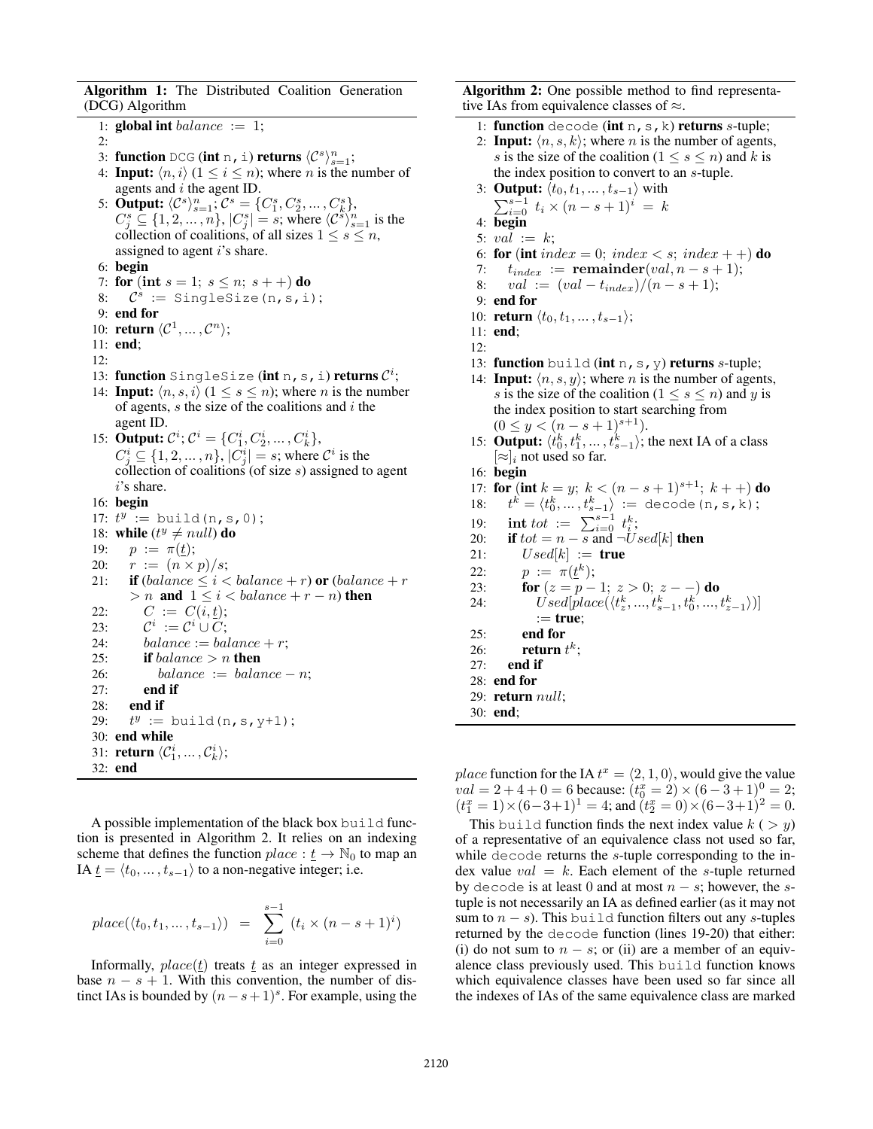Algorithm 1: The Distributed Coalition Generation (DCG) Algorithm

```
1: global int balance := 1;2:
  3: function DCG (int n, i) returns \langle C^s \rangle_{s=1}^n;
 4: Input: \langle n, i \rangle (1 \leq i \leq n); where n is the number of
     agents and i the agent ID.
  5: Output: \langle C^s \rangle_{s=1}^n; C^s = \{C^s_1, C^s_2, ..., C^s_k\},Output. \{C_s^s \subseteq \{1, 2, ..., n\}, |C_s^s| = s; \text{ where } \langle C_s^s \rangle_{s=1}^n \text{ is the }collection of coalitions, of all sizes 1 \leq s \leq n,
     assigned to agent i's share.
 6: begin
 7: for (int s = 1; s \le n; s + 1) do
  8: \mathcal{C}^s := SingleSize(n, s, i);
 9: end for
10: return \langle C^1, \ldots, C^n \rangle;
11: end;
12:
13: function SingleSize (int n, s, i) returns \mathcal{C}^i;
14: Input: \langle n, s, i \rangle (1 \leq s \leq n); where n is the number
     of agents, s the size of the coalitions and i the
     agent ID.
15: Output: C^i; C^i = \{C_1^i, C_2^i, ..., C_k^i\},
     C_j^i \subseteq \{1, 2, ..., n\}, |C_j^i| = s; where C^i is the
     collection of coalitions (of size s) assigned to agent
     i's share.
16: begin
17: t^y := \text{build}(n, s, 0);18: while (t^y \neq null) do
19: p := \pi(\underline{t});20: r := (n \times p)/s;21: if \text{(balance} \leq i < \text{balance} + r) \text{ or } \text{(balance} + r)> n and 1 \leq i < balance + r - n) then
22: C := C(i, t);23:i^i := \mathcal{C}^i \cup \mathcal{C};24: balance := balance +r;
25: if balance > n then
26: balance := balance − n;<br>27: end if
           end if
28: end if
29:
          y := \text{build}(n, s, y+1);30: end while
31: return \langle C_1^i, \ldots, C_k^i \rangle;32: end
```
A possible implementation of the black box build function is presented in Algorithm 2. It relies on an indexing scheme that defines the function  $place : \underline{t} \rightarrow \mathbb{N}_0$  to map an IA  $\underline{t} = \langle t_0, \ldots, t_{s-1} \rangle$  to a non-negative integer; i.e.

$$
place(\langle t_0, t_1, ..., t_{s-1} \rangle) = \sum_{i=0}^{s-1} (t_i \times (n-s+1)^i)
$$

Informally,  $place(t)$  treats  $t$  as an integer expressed in base  $n - s + 1$ . With this convention, the number of distinct IAs is bounded by  $(n - s + 1)^s$ . For example, using the

Algorithm 2: One possible method to find representative IAs from equivalence classes of  $\approx$ .

- 1: function decode (int  $n, s, k$ ) returns s-tuple;
- 2: **Input:**  $\langle n, s, k \rangle$ ; where *n* is the number of agents, s is the size of the coalition ( $1 \leq s \leq n$ ) and k is the index position to convert to an s-tuple.

3: Output: 
$$
\langle t_0, t_1, \ldots, t_{s-1} \rangle
$$
 with  $\sum_{i=0}^{s-1} t_i \times (n-s+1)^i = k$ 

4: begin

- 5:  $val := k$ ;
- 6: for (int index = 0; index < s; index + +) do
- 7:  $t_{index} := \text{remainder}(val, n s + 1);$
- 8:  $val := (val t_{index})/(n s + 1);$

$$
9: end for
$$

10: **return**  $\langle t_0, t_1, \ldots, t_{s-1} \rangle;$ 

- 11: end;
- 12:
- 13: function build (int  $n, s, y$ ) returns s-tuple;
- 14: **Input:**  $\langle n, s, y \rangle$ ; where *n* is the number of agents, s is the size of the coalition  $(1 \leq s \leq n)$  and y is the index position to start searching from  $(0 \leq y < (n - s + 1)^{s+1}).$
- 15: **Output:**  $\langle t_0^k, t_1^k, \ldots, t_{s-1}^k \rangle$ ; the next IA of a class  $[\approx]_i$  not used so far.
- 16: begin

17: **for** (**int** 
$$
k = y
$$
;  $k < (n - s + 1)^{s+1}$ ;  $k + +)$  **do**

18: 
$$
t^k = \langle t_0^k, \dots, t_{s-1}^k \rangle := \text{decode}(n, s, k);
$$
  
19: **int** *tot* :=  $\sum_{i=0}^{s-1} t_i^k;$ 

- 20: **if**  $tot = n s$  and  $\neg Used[k]$  **then**
- 21:  $Used[k] := true$
- 22:  $p := \pi(\underline{t}^k);$
- 23: **for**  $(z = p 1; z > 0; z -)$  **do**
- 24:  $Vised[place(\langle t_z^k, ..., t_{s-1}^k, t_0^k, ..., t_{z-1}^k \rangle)]$  $:=$  true; 25: end for
- 26: return  $t^k$ ;
- 27: end if
- 28: end for
- 29: return null;
- 30: end;

place function for the IA  $t^x = \langle 2, 1, 0 \rangle$ , would give the value  $val = 2 + 4 + 0 = 6$  because:  $(t_0^x = 2) \times (6 - 3 + 1)^0 = 2$ ;  $(t_1^x = 1) \times (6-3+1)^1 = 4$ ; and  $(t_2^x = 0) \times (6-3+1)^2 = 0$ .

This build function finds the next index value  $k$  (  $> y$ ) of a representative of an equivalence class not used so far, while decode returns the s-tuple corresponding to the index value  $val = k$ . Each element of the s-tuple returned by decode is at least 0 and at most  $n - s$ ; however, the stuple is not necessarily an IA as defined earlier (as it may not sum to  $n - s$ ). This build function filters out any s-tuples returned by the decode function (lines 19-20) that either: (i) do not sum to  $n - s$ ; or (ii) are a member of an equivalence class previously used. This build function knows which equivalence classes have been used so far since all the indexes of IAs of the same equivalence class are marked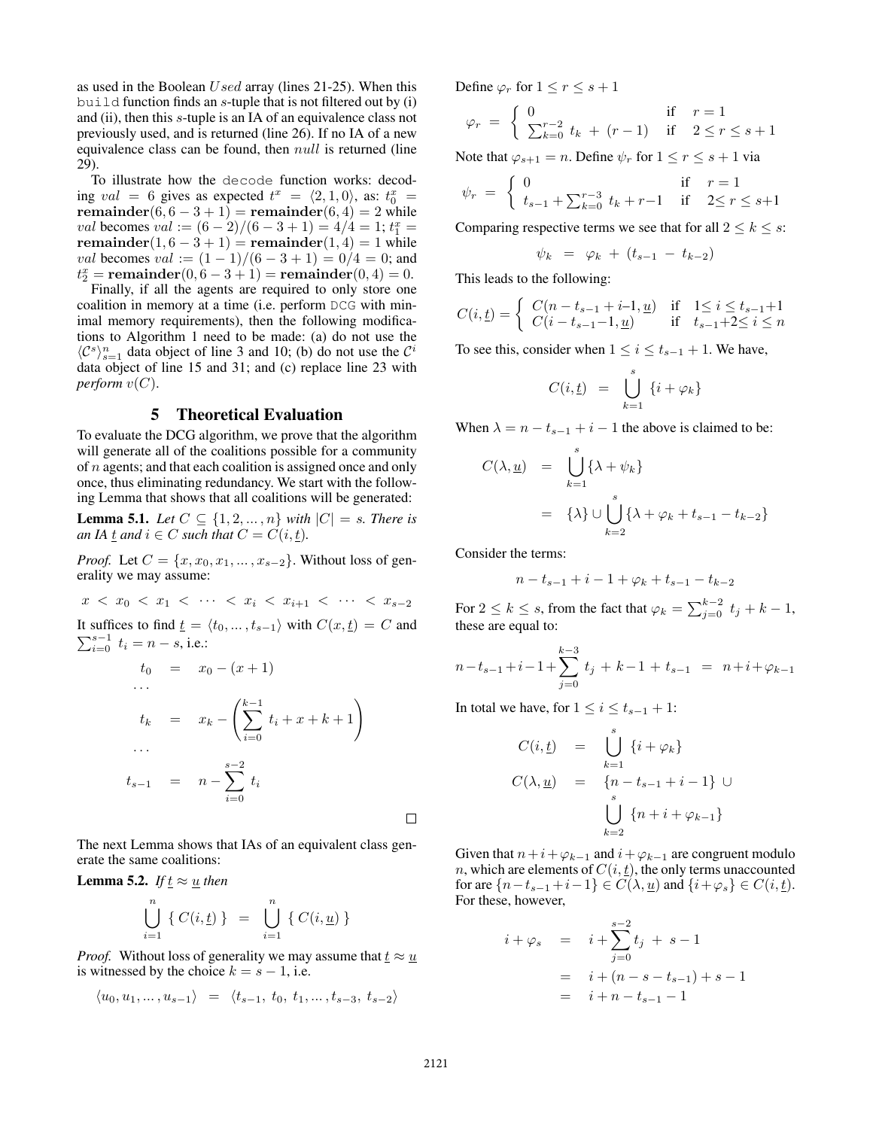as used in the Boolean Used array (lines 21-25). When this build function finds an  $s$ -tuple that is not filtered out by (i) and (ii), then this s-tuple is an IA of an equivalence class not previously used, and is returned (line 26). If no IA of a new equivalence class can be found, then  $null$  is returned (line 29).

To illustrate how the decode function works: decoding val = 6 gives as expected  $t^x = \langle 2, 1, 0 \rangle$ , as:  $t_0^x =$ remainder $(6, 6 - 3 + 1)$  = remainder $(6, 4)$  = 2 while val becomes val :=  $(6-2)/(6-3+1) = 4/4 = 1$ ;  $t_1^x =$ remainder $(1, 6 - 3 + 1)$  = remainder $(1, 4)$  = 1 while val becomes val :=  $(1 - 1)/(6 - 3 + 1) = 0/4 = 0$ ; and  $t_2^x = \text{remainder}(0, 6 - 3 + 1) = \text{remainder}(0, 4) = 0.$ 

Finally, if all the agents are required to only store one coalition in memory at a time (i.e. perform DCG with minimal memory requirements), then the following modifications to Algorithm 1 need to be made: (a) do not use the  $\langle \mathcal{C}^s \rangle_{s=1}^n$  data object of line 3 and 10; (b) do not use the  $\mathcal{C}^i$ data object of line 15 and 31; and (c) replace line 23 with *perform*  $v(C)$ .

## 5 Theoretical Evaluation

To evaluate the DCG algorithm, we prove that the algorithm will generate all of the coalitions possible for a community of *n* agents; and that each coalition is assigned once and only once, thus eliminating redundancy. We start with the following Lemma that shows that all coalitions will be generated:

**Lemma 5.1.** Let  $C \subseteq \{1, 2, ..., n\}$  with  $|C| = s$ . There is *an IA*  $\underline{t}$  *and*  $i \in C$  *such that*  $C = C(i, \underline{t})$ *.* 

*Proof.* Let  $C = \{x, x_0, x_1, \ldots, x_{s-2}\}$ . Without loss of generality we may assume:

 $x < x_0 < x_1 < \cdots < x_i < x_{i+1} < \cdots < x_{s-2}$ It suffices to find  $\underline{t} = \langle t_0, \ldots, t_{s-1} \rangle$  with  $C(x, \underline{t}) = C$  and  $\sum_{i=0}^{s-1} t_i = n - s$ , i.e.:  $t_0 = x_0 - (x + 1)$ · · ·

$$
t_k = x_k - \left(\sum_{i=0}^{k-1} t_i + x + k + 1\right)
$$
  
...  

$$
t_{s-1} = n - \sum_{i=0}^{s-2} t_i
$$

The next Lemma shows that IAs of an equivalent class generate the same coalitions:

**Lemma 5.2.** *If*  $t \approx u$  *then* 

$$
\bigcup_{i=1}^{n} \{ C(i, \underline{t}) \} = \bigcup_{i=1}^{n} \{ C(i, \underline{u}) \}
$$

*Proof.* Without loss of generality we may assume that  $t \approx u$ is witnessed by the choice  $k = s - 1$ , i.e.

$$
\langle u_0, u_1, \dots, u_{s-1} \rangle = \langle t_{s-1}, t_0, t_1, \dots, t_{s-3}, t_{s-2} \rangle
$$

Define  $\varphi_r$  for  $1 \leq r \leq s+1$ 

$$
\varphi_r = \begin{cases} 0 & \text{if } r = 1 \\ \sum_{k=0}^{r-2} t_k + (r-1) & \text{if } 2 \le r \le s+1 \end{cases}
$$

Note that  $\varphi_{s+1} = n$ . Define  $\psi_r$  for  $1 \le r \le s+1$  via

$$
\psi_r = \begin{cases} 0 & \text{if } r = 1\\ t_{s-1} + \sum_{k=0}^{r-3} t_k + r - 1 & \text{if } 2 \le r \le s+1 \end{cases}
$$

Comparing respective terms we see that for all  $2 \leq k \leq s$ :

$$
\psi_k = \varphi_k + (t_{s-1} - t_{k-2})
$$

This leads to the following:

$$
C(i, \underline{t}) = \begin{cases} C(n - t_{s-1} + i - 1, \underline{u}) & \text{if } 1 \le i \le t_{s-1} + 1 \\ C(i - t_{s-1} - 1, \underline{u}) & \text{if } t_{s-1} + 2 \le i \le n \end{cases}
$$

To see this, consider when  $1 \leq i \leq t_{s-1} + 1$ . We have,

$$
C(i, \underline{t}) = \bigcup_{k=1}^{s} \{i + \varphi_k\}
$$

When  $\lambda = n - t_{s-1} + i - 1$  the above is claimed to be:

$$
C(\lambda, \underline{u}) = \bigcup_{k=1}^{s} \{\lambda + \psi_k\}
$$
  
=  $\{\lambda\} \cup \bigcup_{k=2}^{s} \{\lambda + \varphi_k + t_{s-1} - t_{k-2}\}$ 

Consider the terms:

$$
n - t_{s-1} + i - 1 + \varphi_k + t_{s-1} - t_{k-2}
$$

For  $2 \le k \le s$ , from the fact that  $\varphi_k = \sum_{j=0}^{k-2} t_j + k - 1$ , these are equal to:

$$
n-t_{s-1}+i-1+\sum_{j=0}^{k-3} t_j + k-1 + t_{s-1} = n+i+\varphi_{k-1}
$$

In total we have, for  $1 \leq i \leq t_{s-1} + 1$ :

$$
C(i, \underline{t}) = \bigcup_{k=1}^{s} \{i + \varphi_k\}
$$
  

$$
C(\lambda, \underline{u}) = \{n - t_{s-1} + i - 1\} \cup \bigcup_{k=2}^{s} \{n + i + \varphi_{k-1}\}
$$

Given that  $n+i+\varphi_{k-1}$  and  $i+\varphi_{k-1}$  are congruent modulo n, which are elements of  $C(i, t)$ , the only terms unaccounted for are  $\{n-t_{s-1}+i-1\} \in C(\lambda, \underline{u})$  and  $\{i+\varphi_s\} \in C(i, \underline{t})$ . For these, however,

$$
i + \varphi_s = i + \sum_{j=0}^{s-2} t_j + s - 1
$$
  
=  $i + (n - s - t_{s-1}) + s - 1$   
=  $i + n - t_{s-1} - 1$ 

 $\Box$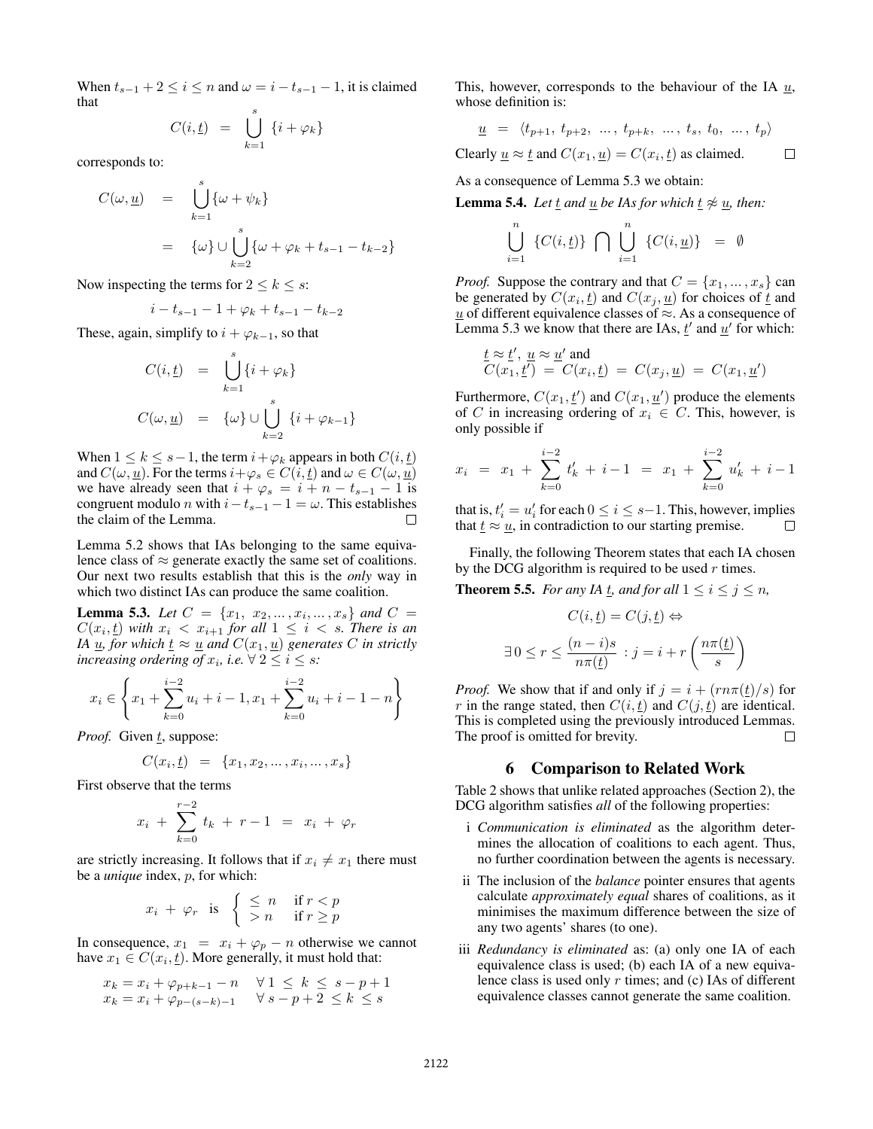When  $t_{s-1} + 2 \le i \le n$  and  $\omega = i - t_{s-1} - 1$ , it is claimed that

$$
C(i, \underline{t}) = \bigcup_{k=1}^{s} \{i + \varphi_k\}
$$

corresponds to:

$$
C(\omega, \underline{u}) = \bigcup_{k=1}^{s} {\omega + \psi_k}
$$
  
=  ${\omega} \cup \bigcup_{k=2}^{s} {\omega + \varphi_k + t_{s-1} - t_{k-2}}$ 

Now inspecting the terms for  $2 \leq k \leq s$ :

$$
i - t_{s-1} - 1 + \varphi_k + t_{s-1} - t_{k-2}
$$

These, again, simplify to  $i + \varphi_{k-1}$ , so that

$$
C(i, \underline{t}) = \bigcup_{k=1}^{s} \{i + \varphi_k\}
$$
  

$$
C(\omega, \underline{u}) = \{\omega\} \cup \bigcup_{k=2}^{s} \{i + \varphi_{k-1}\}
$$

When  $1 \leq k \leq s-1$ , the term  $i + \varphi_k$  appears in both  $C(i, t)$ and  $C(\omega, \underline{u})$ . For the terms  $i+\varphi_s \in C(i, \underline{t})$  and  $\omega \in C(\omega, \underline{u})$ we have already seen that  $i + \varphi_s = i + n - t_{s-1} - 1$  is congruent modulo *n* with  $i-t_{s-1}-1 = \omega$ . This establishes the claim of the Lemma.  $\Box$ 

Lemma 5.2 shows that IAs belonging to the same equivalence class of  $\approx$  generate exactly the same set of coalitions. Our next two results establish that this is the *only* way in which two distinct IAs can produce the same coalition.

**Lemma 5.3.** Let  $C = \{x_1, x_2, ..., x_i, ..., x_s\}$  and  $C =$  $C(x_i, t)$  with  $x_i \leq x_{i+1}$  for all  $1 \leq i \leq s$ . There is an *IA*  $\underline{u}$ *, for which*  $\underline{t} \approx \underline{u}$  *and*  $C(x_1, \underline{u})$  *generates* C *in strictly increasing ordering of*  $x_i$ , *i.e.*  $\forall$   $2 \leq i \leq s$ *:* 

$$
x_i \in \left\{ x_1 + \sum_{k=0}^{i-2} u_i + i - 1, x_1 + \sum_{k=0}^{i-2} u_i + i - 1 - n \right\}
$$

*Proof.* Given t, suppose:

$$
C(x_i, \underline{t}) = \{x_1, x_2, \dots, x_i, \dots, x_s\}
$$

First observe that the terms

$$
x_i + \sum_{k=0}^{r-2} t_k + r - 1 = x_i + \varphi_r
$$

are strictly increasing. It follows that if  $x_i \neq x_1$  there must be a *unique* index, p, for which:

$$
x_i + \varphi_r \quad \text{is} \quad \left\{ \begin{array}{ll} \leq n & \text{if } r < p \\ > n & \text{if } r \geq p \end{array} \right.
$$

In consequence,  $x_1 = x_i + \varphi_p - n$  otherwise we cannot have  $x_1 \in C(x_i, \underline{t})$ . More generally, it must hold that:

$$
x_k = x_i + \varphi_{p+k-1} - n \quad \forall 1 \le k \le s-p+1
$$
  

$$
x_k = x_i + \varphi_{p-(s-k)-1} \quad \forall s-p+2 \le k \le s
$$

This, however, corresponds to the behaviour of the IA  $u$ , whose definition is:

$$
\underline{u} = \langle t_{p+1}, t_{p+2}, \ldots, t_{p+k}, \ldots, t_s, t_0, \ldots, t_p \rangle
$$

Clearly  $\underline{u} \approx \underline{t}$  and  $C(x_1, \underline{u}) = C(x_i, \underline{t})$  as claimed.  $\Box$ 

As a consequence of Lemma 5.3 we obtain:

**Lemma 5.4.** *Let*  $\underline{t}$  *and*  $\underline{u}$  *be IAs for which*  $\underline{t} \not\approx \underline{u}$ *, then:* 

$$
\bigcup_{i=1}^{n} \{C(i, \underline{t})\} \bigcap \bigcup_{i=1}^{n} \{C(i, \underline{u})\} = \emptyset
$$

*Proof.* Suppose the contrary and that  $C = \{x_1, \ldots, x_s\}$  can be generated by  $C(x_i, \underline{t})$  and  $C(x_j, \underline{u})$  for choices of  $\underline{t}$  and  $\underline{u}$  of different equivalence classes of  $\approx$ . As a consequence of Lemma 5.3 we know that there are IAs,  $\underline{t}'$  and  $\underline{u}'$  for which:

$$
\underline{t} \approx \underline{t}', \ \underline{u} \approx \underline{u}' \text{ and}
$$
  

$$
C(x_1, \underline{t}') = C(x_i, \underline{t}) = C(x_j, \underline{u}) = C(x_1, \underline{u}')
$$

Furthermore,  $C(x_1, \underline{t}')$  and  $C(x_1, \underline{u}')$  produce the elements of C in increasing ordering of  $x_i \in C$ . This, however, is only possible if

$$
x_i = x_1 + \sum_{k=0}^{i-2} t'_k + i - 1 = x_1 + \sum_{k=0}^{i-2} u'_k + i - 1
$$

that is,  $t'_i = u'_i$  for each  $0 \le i \le s-1$ . This, however, implies that  $\underline{t} \approx \underline{u}$ , in contradiction to our starting premise. П

Finally, the following Theorem states that each IA chosen by the DCG algorithm is required to be used  $r$  times.

**Theorem 5.5.** *For any IA t, and for all*  $1 \le i \le j \le n$ *,* 

$$
C(i, \underline{t}) = C(j, \underline{t}) \Leftrightarrow
$$
  

$$
\exists 0 \le r \le \frac{(n-i)s}{n\pi(\underline{t})} : j = i + r\left(\frac{n\pi(\underline{t})}{s}\right)
$$

*Proof.* We show that if and only if  $j = i + (r n \pi(\underline{t})/s)$  for r in the range stated, then  $C(i, t)$  and  $C(j, t)$  are identical. This is completed using the previously introduced Lemmas. The proof is omitted for brevity.  $\Box$ 

### 6 Comparison to Related Work

Table 2 shows that unlike related approaches (Section 2), the DCG algorithm satisfies *all* of the following properties:

- i *Communication is eliminated* as the algorithm determines the allocation of coalitions to each agent. Thus, no further coordination between the agents is necessary.
- ii The inclusion of the *balance* pointer ensures that agents calculate *approximately equal* shares of coalitions, as it minimises the maximum difference between the size of any two agents' shares (to one).
- iii *Redundancy is eliminated* as: (a) only one IA of each equivalence class is used; (b) each IA of a new equivalence class is used only  $r$  times; and (c) IAs of different equivalence classes cannot generate the same coalition.